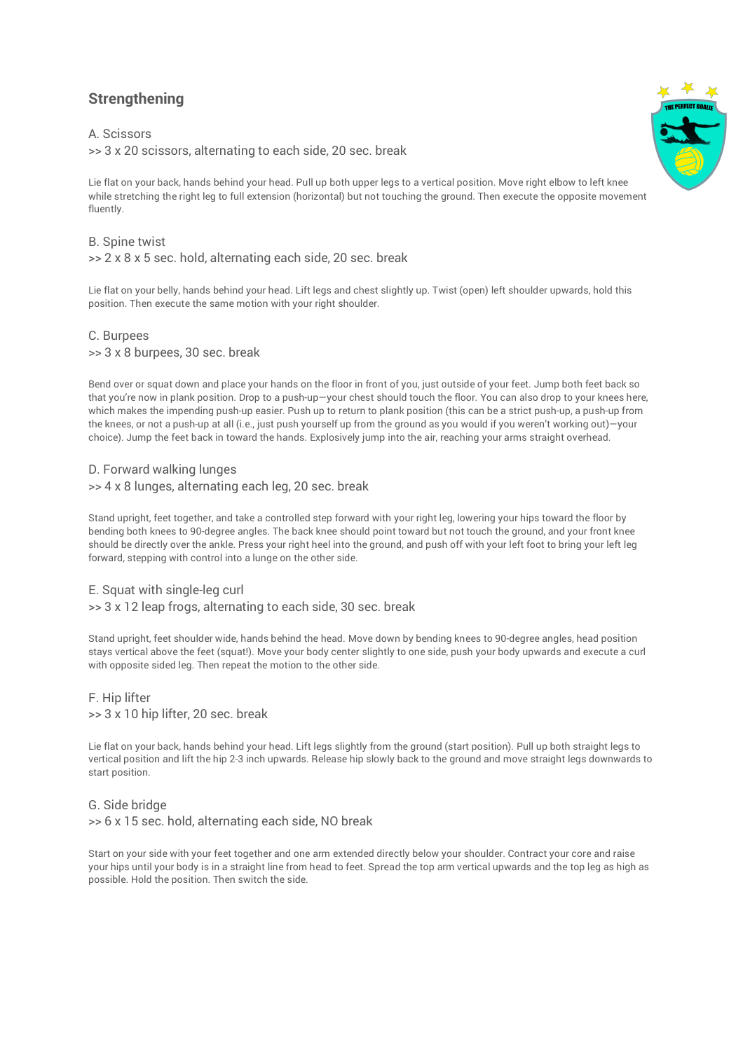# **Strengthening**

### A. Scissors

>> 3 x 20 scissors, alternating to each side, 20 sec. break

Lie flat on your back, hands behind your head. Pull up both upper legs to a vertical position. Move right elbow to left knee while stretching the right leg to full extension (horizontal) but not touching the ground. Then execute the opposite movement fluently.

#### B. Spine twist

>> 2 x 8 x 5 sec. hold, alternating each side, 20 sec. break

Lie flat on your belly, hands behind your head. Lift legs and chest slightly up. Twist (open) left shoulder upwards, hold this position. Then execute the same motion with your right shoulder.

## C. Burpees >> 3 x 8 burpees, 30 sec. break

Bend over or squat down and place your hands on the floor in front of you, just outside of your feet. Jump both feet back so that you're now in plank position. Drop to a push-up—your chest should touch the floor. You can also drop to your knees here, which makes the impending push-up easier. Push up to return to plank position (this can be a strict push-up, a push-up from the knees, or not a push-up at all (i.e., just push yourself up from the ground as you would if you weren't working out)—your choice). Jump the feet back in toward the hands. Explosively jump into the air, reaching your arms straight overhead.

# D. Forward walking lunges

>> 4 x 8 lunges, alternating each leg, 20 sec. break

Stand upright, feet together, and take a controlled step forward with your right leg, lowering your hips toward the floor by bending both knees to 90-degree angles. The back knee should point toward but not touch the ground, and your front knee should be directly over the ankle. Press your right heel into the ground, and push off with your left foot to bring your left leg forward, stepping with control into a lunge on the other side.

#### E. Squat with single-leg curl

>> 3 x 12 leap frogs, alternating to each side, 30 sec. break

Stand upright, feet shoulder wide, hands behind the head. Move down by bending knees to 90-degree angles, head position stays vertical above the feet (squat!). Move your body center slightly to one side, push your body upwards and execute a curl with opposite sided leg. Then repeat the motion to the other side.

# F. Hip lifter >> 3 x 10 hip lifter, 20 sec. break

Lie flat on your back, hands behind your head. Lift legs slightly from the ground (start position). Pull up both straight legs to vertical position and lift the hip 2-3 inch upwards. Release hip slowly back to the ground and move straight legs downwards to start position.

# G. Side bridge >> 6 x 15 sec. hold, alternating each side, NO break

Start on your side with your feet together and one arm extended directly below your shoulder. Contract your core and raise your hips until your body is in a straight line from head to feet. Spread the top arm vertical upwards and the top leg as high as possible. Hold the position. Then switch the side.